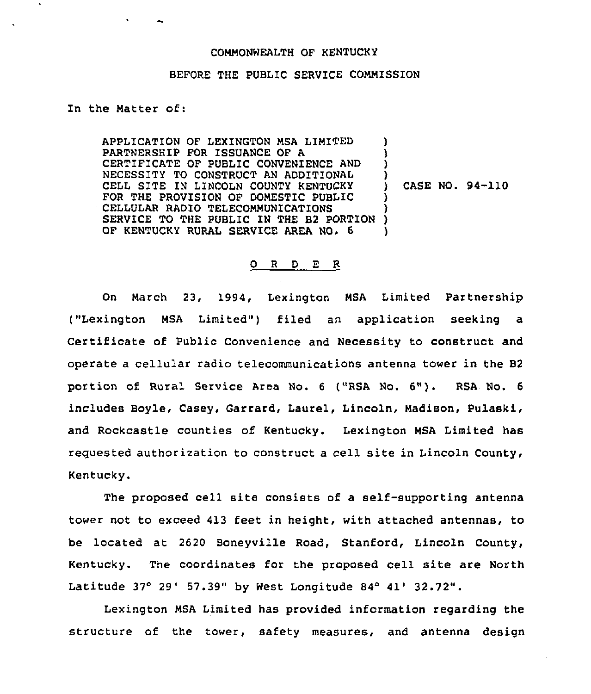## COMMONWEALTH OF KENTUCKY

## BEFORE THE PUBLIC SERVICE COMMISSION

## In the Matter of:

APPLICATION OF LEXINGTON MSA LIMITED PARTNERSHIP FOR ISSUANCE OF A CERTIFICATE OF PUBLIC CONVENIENCE AND NECESSITY TO CONSTRUCT AN ADDITIONAL CELL SITE IN LINCOLN COUNTY KENTUCKY FOR THE PROVISION OF DOMESTIC PUBLIC CELLULAR RADIO TELECOMMUNICATIONS SERVICE TO THE PUBLIC IN THE B2 PORTION OF KENTUCKY RURAL SERVICE AREA NO. 6 ) ) ) ) ) ) )

) CASE NO. 94-110

## 0 <sup>R</sup> <sup>D</sup> E R

On March 23, 1994, Lexington MSA Limited Partnership ("Lexington MSA Limited'") filed an application seeking <sup>a</sup> Certificate of Public Convenience and Necessity to construct and operate a cellular radio telecommunications antenna tower in the B2 portion of Rural Service Area No. <sup>6</sup> ("RSA No. 6"). RSA No. <sup>6</sup> includes Hoyle, Casey, Garrard, Laurel, Lincoln, Madison, Pulaski, and Rockcastle counties of Kentucky. Lexington MSA Limited has reguested authorization to construct a cell site in Lincoln County, Kentucky.

The proposed cell site consists of a self-supporting antenna tower not to exceed 413 feet in height, with attached antennas, to be located at 2620 Boneyville Road, Stanford, Lincoln County, Kentucky. The coordinates for the proposed cell site are North Latitude  $37^{\circ}$  29' 57.39" by West Longitude 84 $^{\circ}$  41' 32.72".

Lexington MSA Limited has provided information regarding the structure of the tower, safety measures, and antenna design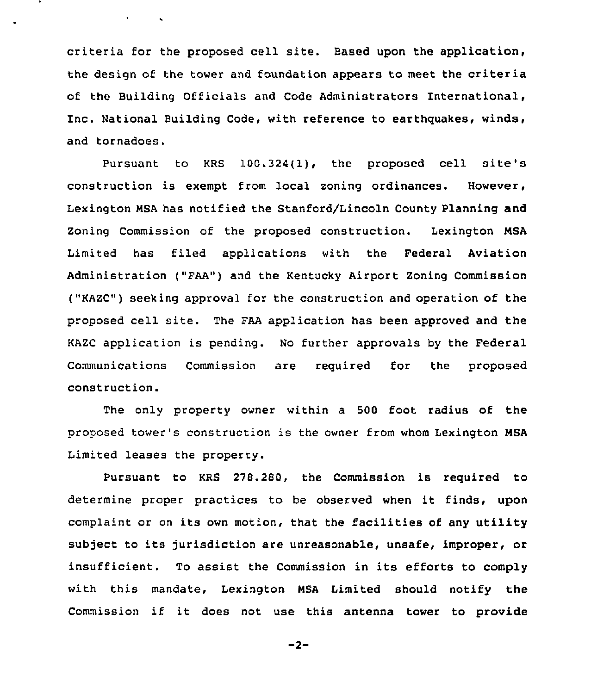criteria for the proposed cell site. Based upon the application, the design of the tower and foundation appears to meet the criteria of the Building Officials and Code Administrators International, Inc. National Building Code, with reference to earthquakes, winds, and tornadoes.

Pursuant to KRS 100.324(1}, the proposed cell site's construction is exempt from local zoning ordinances. However, Lexington MSA has notified the Stanford/Lincoln County Planning and Zoning Commission of the proposed construction. Lexington MSA Limited has filed applications with the Federal Aviation Administration ("FAA") and the Kentucky Airport Zoning Commission ("KAZC") seeking approval for the construction and operation of the proposed cell site. The FAA application has been approved and the KAZC application is pending. No further approvals by the Federal Communications Commission are required for the proposed construction.

The only property owner within a 500 foot radius of the proposed tower's construction is the owner from whom Lexington MSA Limited leases the property.

Pursuant to KRS 278.280, the Commission is required to determine proper practices to be observed when it finds, upon complaint or on its own motion, that the facilities of any utility subject to its jurisdiction are unreasonable, unsafe, improper, or insufficient. To assist the Commission in its efforts to comply with this mandate, Lexington MSA Limited should notify the Commission if it does not use this antenna tower to provide

$$
-2-
$$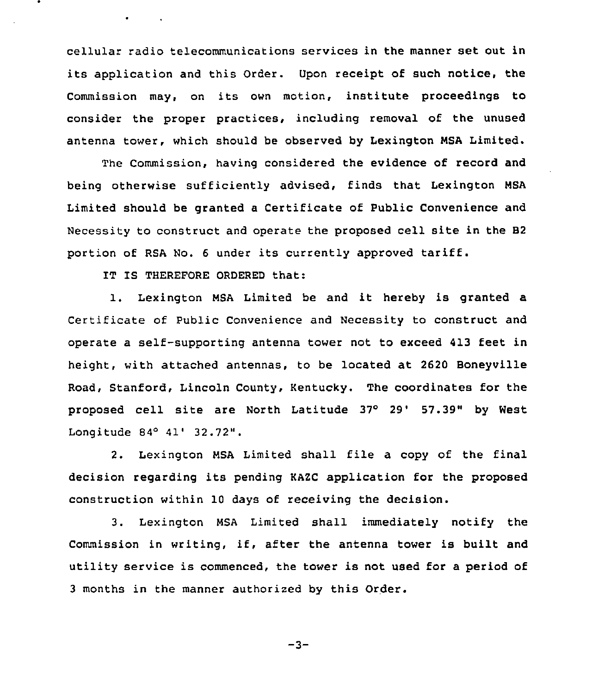cellular radio telecommunications services in the manner set out in its application and this Order. Upon receipt of such notice, the Commission may, on its own motion, institute proceedings to consider the proper practices, including removal of the unused antenna tower, which should be observed by Lexington MSA Limited.

The Commission, having considered the evidence of record and being otherwise sufficiently advised, finds that Lexington NSA Limited should be granted a Certificate of Public Convenience and Necessity to construct and operate the proposed cell site in the B2 portion of RSA No. <sup>6</sup> under its currently approved tariff.

IT IS THEREFORE ORDERED that:

1. Lexington NSA Limited be and it hereby is granted <sup>a</sup> Certificate of Public Convenience and Necessity to construct and operate a self-supporting antenna tower not to exceed 413 feet in height, with attached antennas, to be located at 2620 Boneyville Road, Stanford, Lincoln County, Kentucky. The coordinates for the proposed cell site are North Latitude 37° 29' 57.39" by West Longitude  $84^{\circ}$   $41'$   $32.72''$ .

2. Lexington HSA Limited shall file a copy of the final decision regarding its pending KAZC application for the proposed construction within 10 days of receiving the decision.

3. Lexington HSA Limited shall immediately notify the Commission in writing, if, after the antenna tower is built and utility service is commenced, the tower is not used for a period of <sup>3</sup> months in the manner authorized by this Order.

 $-3-$